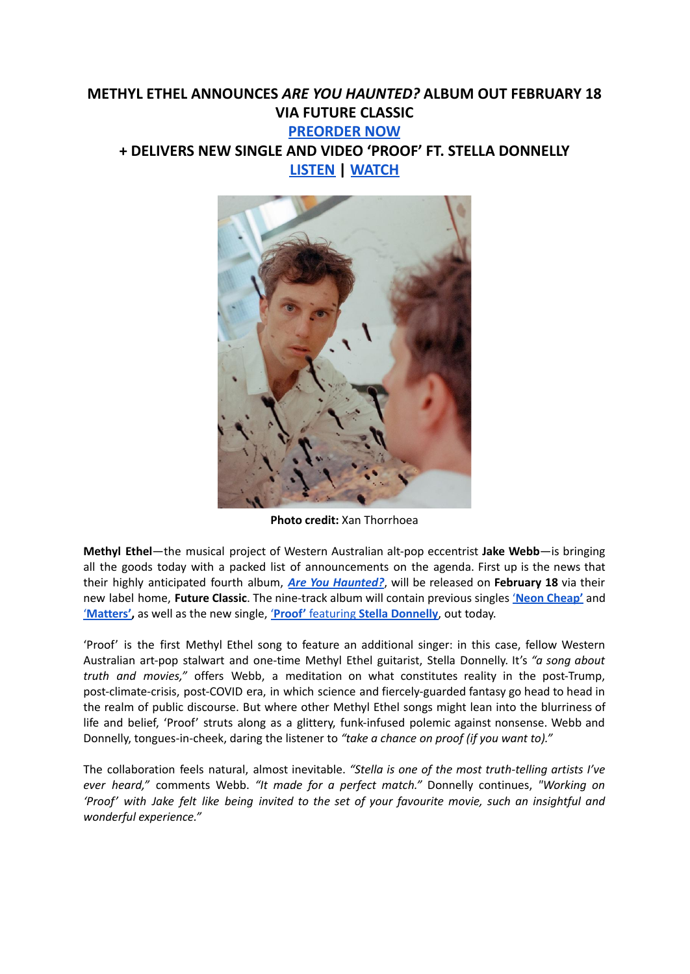## **METHYL ETHEL ANNOUNCES** *ARE YOU HAUNTED?* **ALBUM OUT FEBRUARY 18 VIA FUTURE CLASSIC [PREORDER](https://ffm.to/areyouhaunted) NOW + DELIVERS NEW SINGLE AND VIDEO 'PROOF' FT. STELLA DONNELLY [LISTEN](https://ffm.to/methyl_proof) | [WATCH](https://youtu.be/FVO29ouQSQw)**



**Photo credit:** Xan Thorrhoea

**Methyl Ethel**—the musical project of Western Australian alt-pop eccentrist **Jake Webb**—is bringing all the goods today with a packed list of announcements on the agenda. First up is the news that their highly anticipated fourth album, *Are You [Haunted?](https://ffm.to/areyouhaunted)*, will be released on **February 18** via their new label home, **Future Classic**. The nine-track album will contain previous singles '**Neon [Cheap'](https://www.youtube.com/watch?v=YS3CjEOupYc)** and '**[Matters',](https://www.youtube.com/watch?v=JnoBOU2BKmc)** as well as the new single, '**Proof'** featuring **Stella [Donnelly](https://ffm.to/methyl_proof)**, out today.

'Proof' is the first Methyl Ethel song to feature an additional singer: in this case, fellow Western Australian art-pop stalwart and one-time Methyl Ethel guitarist, Stella Donnelly. It's *"a song about truth and movies,"* offers Webb, a meditation on what constitutes reality in the post-Trump, post-climate-crisis, post-COVID era, in which science and fiercely-guarded fantasy go head to head in the realm of public discourse. But where other Methyl Ethel songs might lean into the blurriness of life and belief, 'Proof' struts along as a glittery, funk-infused polemic against nonsense. Webb and Donnelly, tongues-in-cheek, daring the listener to *"take a chance on proof (if you want to)."*

The collaboration feels natural, almost inevitable. *"Stella is one of the most truth-telling artists I've ever heard,"* comments Webb. *"It made for a perfect match."* Donnelly continues, *"Working on* 'Proof' with Jake felt like being invited to the set of your favourite movie, such an insightful and *wonderful experience."*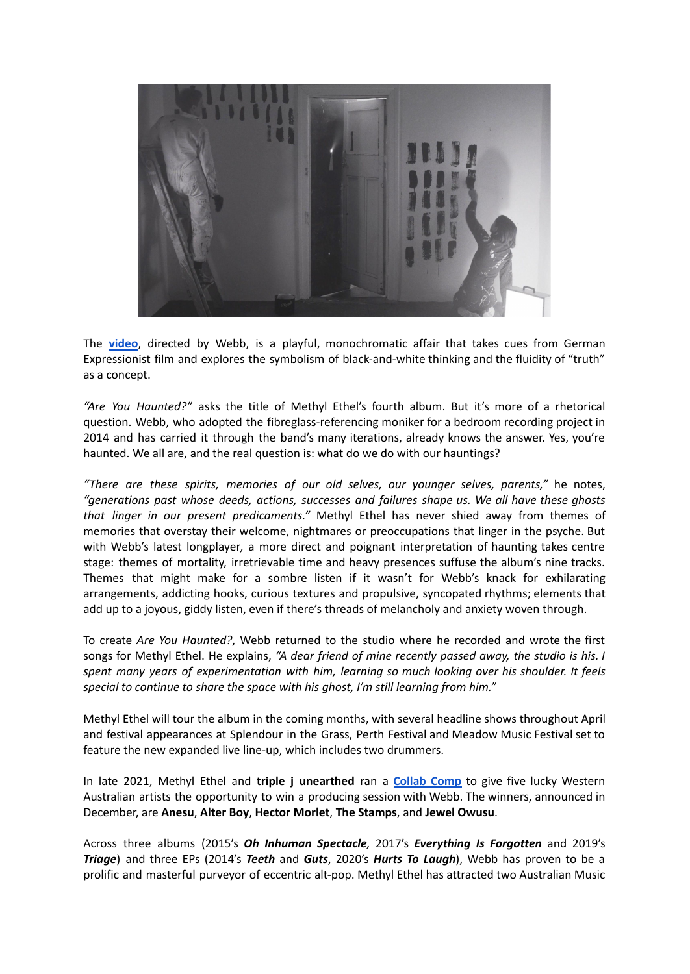

The **[video](https://www.youtube.com/watch?v=FVO29ouQSQw)**, directed by Webb, is a playful, monochromatic affair that takes cues from German Expressionist film and explores the symbolism of black-and-white thinking and the fluidity of "truth" as a concept.

*"Are You Haunted?"* asks the title of Methyl Ethel's fourth album. But it's more of a rhetorical question. Webb, who adopted the fibreglass-referencing moniker for a bedroom recording project in 2014 and has carried it through the band's many iterations, already knows the answer. Yes, you're haunted. We all are, and the real question is: what do we do with our hauntings?

*"There are these spirits, memories of our old selves, our younger selves, parents,"* he notes, *"generations past whose deeds, actions, successes and failures shape us. We all have these ghosts that linger in our present predicaments."* Methyl Ethel has never shied away from themes of memories that overstay their welcome, nightmares or preoccupations that linger in the psyche. But with Webb's latest longplayer*,* a more direct and poignant interpretation of haunting takes centre stage: themes of mortality, irretrievable time and heavy presences suffuse the album's nine tracks. Themes that might make for a sombre listen if it wasn't for Webb's knack for exhilarating arrangements, addicting hooks, curious textures and propulsive, syncopated rhythms; elements that add up to a joyous, giddy listen, even if there's threads of melancholy and anxiety woven through.

To create *Are You Haunted?*, Webb returned to the studio where he recorded and wrote the first songs for Methyl Ethel. He explains, *"A dear friend of mine recently passed away, the studio is his. I spent many years of experimentation with him, learning so much looking over his shoulder. It feels special to continue to share the space with his ghost, I'm still learning from him."*

Methyl Ethel will tour the album in the coming months, with several headline shows throughout April and festival appearances at Splendour in the Grass, Perth Festival and Meadow Music Festival set to feature the new expanded live line-up, which includes two drummers.

In late 2021, Methyl Ethel and **triple j unearthed** ran a **[Collab](https://www.abc.net.au/triplej/program-unearthed/methyl-ethel-collab-comp-winners-2021/13685046) Comp** to give five lucky Western Australian artists the opportunity to win a producing session with Webb. The winners, announced in December, are **Anesu**, **Alter Boy**, **Hector Morlet**, **The Stamps**, and **Jewel Owusu**.

Across three albums (2015's *Oh Inhuman Spectacle,* 2017's *Everything Is Forgotten* and 2019's *Triage*) and three EPs (2014's *Teeth* and *Guts*, 2020's *Hurts To Laugh*), Webb has proven to be a prolific and masterful purveyor of eccentric alt-pop. Methyl Ethel has attracted two Australian Music